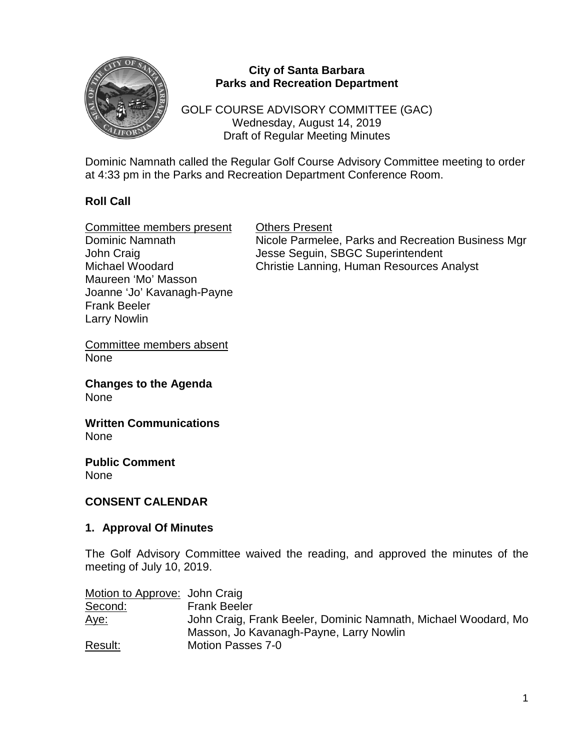

### **City of Santa Barbara Parks and Recreation Department**

GOLF COURSE ADVISORY COMMITTEE (GAC) Wednesday, August 14, 2019 Draft of Regular Meeting Minutes

Dominic Namnath called the Regular Golf Course Advisory Committee meeting to order at 4:33 pm in the Parks and Recreation Department Conference Room.

# **Roll Call**

Frank Beeler Larry Nowlin

| Committee members present  | <b>Others Present</b>                              |
|----------------------------|----------------------------------------------------|
| Dominic Namnath            | Nicole Parmelee, Parks and Recreation Business Mgr |
| John Craig                 | Jesse Seguin, SBGC Superintendent                  |
| Michael Woodard            | Christie Lanning, Human Resources Analyst          |
| Maureen 'Mo' Masson        |                                                    |
| Joanne 'Jo' Kavanagh-Payne |                                                    |

Committee members absent None

**Changes to the Agenda** None

**Written Communications** None

**Public Comment** None

#### **CONSENT CALENDAR**

#### **1. Approval Of Minutes**

The Golf Advisory Committee waived the reading, and approved the minutes of the meeting of July 10, 2019.

| Motion to Approve: John Craig |                                                                |
|-------------------------------|----------------------------------------------------------------|
| Second:                       | <b>Frank Beeler</b>                                            |
| <u>Aye:</u>                   | John Craig, Frank Beeler, Dominic Namnath, Michael Woodard, Mo |
|                               | Masson, Jo Kavanagh-Payne, Larry Nowlin                        |
| Result:                       | <b>Motion Passes 7-0</b>                                       |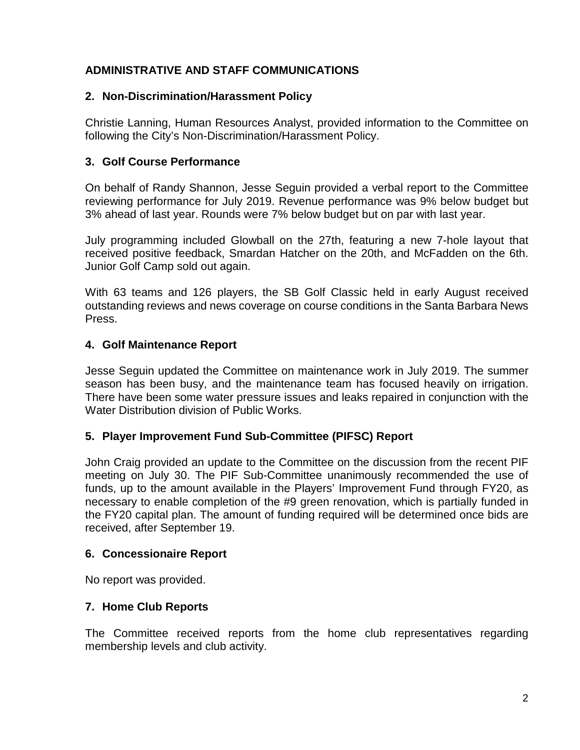# **ADMINISTRATIVE AND STAFF COMMUNICATIONS**

### **2. Non-Discrimination/Harassment Policy**

Christie Lanning, Human Resources Analyst, provided information to the Committee on following the City's Non-Discrimination/Harassment Policy.

## **3. Golf Course Performance**

On behalf of Randy Shannon, Jesse Seguin provided a verbal report to the Committee reviewing performance for July 2019. Revenue performance was 9% below budget but 3% ahead of last year. Rounds were 7% below budget but on par with last year.

July programming included Glowball on the 27th, featuring a new 7-hole layout that received positive feedback, Smardan Hatcher on the 20th, and McFadden on the 6th. Junior Golf Camp sold out again.

With 63 teams and 126 players, the SB Golf Classic held in early August received outstanding reviews and news coverage on course conditions in the Santa Barbara News Press.

#### **4. Golf Maintenance Report**

Jesse Seguin updated the Committee on maintenance work in July 2019. The summer season has been busy, and the maintenance team has focused heavily on irrigation. There have been some water pressure issues and leaks repaired in conjunction with the Water Distribution division of Public Works.

#### **5. Player Improvement Fund Sub-Committee (PIFSC) Report**

John Craig provided an update to the Committee on the discussion from the recent PIF meeting on July 30. The PIF Sub-Committee unanimously recommended the use of funds, up to the amount available in the Players' Improvement Fund through FY20, as necessary to enable completion of the #9 green renovation, which is partially funded in the FY20 capital plan. The amount of funding required will be determined once bids are received, after September 19.

#### **6. Concessionaire Report**

No report was provided.

## **7. Home Club Reports**

The Committee received reports from the home club representatives regarding membership levels and club activity.